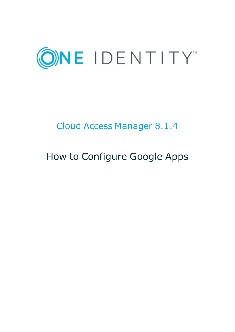

# Cloud Access Manager 8.1.4

# How to Configure Google Apps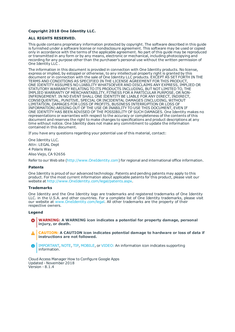### **Copyright 2018 One Identity LLC.**

#### **ALL RIGHTS RESERVED.**

This guide contains proprietary information protected by copyright. The software described in this guide is furnished under a software license or nondisclosure agreement. This software may be used or copied only in accordance with the terms of the applicable agreement. No part of this guide may be reproduced or transmitted in any form or by any means, electronic or mechanical, including photocopying and recording for any purpose other than the purchaser's personal use without the written permission of One Identity LLC .

The information in this document is provided in connection with One Identity products. No license, express or implied, by estoppel or otherwise, to any intellectual property right is granted by this document or in connection with the sale of One Identity LLC products. EXCEPT AS SET FORTH IN THE TERMS AND CONDITIONS AS SPECIFIED IN THE LICENSE AGREEMENT FOR THIS PRODUCT, ONE IDENTITY ASSUMES NO LIABILITY WHATSOEVER AND DISCLAIMS ANY EXPRESS, IMPLIED OR STATUTORY WARRANTY RELATING TO ITS PRODUCTS INCLUDING, BUT NOT LIMITED TO, THE IMPLIED WARRANTY OF MERCHANTABILITY, FITNESS FOR A PARTICULAR PURPOSE, OR NON-INFRINGEMENT. IN NO EVENT SHALL ONE IDENTITY BE LIABLE FOR ANY DIRECT, INDIRECT, CONSEQUENTIAL, PUNITIVE, SPECIAL OR INCIDENTAL DAMAGES (INCLUDING, WITHOUT LIMITATION, DAMAGES FOR LOSS OF PROFITS, BUSINESS INTERRUPTION OR LOSS OF INFORMATION) ARISING OUT OF THE USE OR INABILITY TO USE THIS DOCUMENT, EVEN IF ONE IDENTITY HAS BEEN ADVISED OF THE POSSIBILITY OF SUCH DAMAGES. One Identity makes no representations or warranties with respect to the accuracy or completeness of the contents of this document and reserves the right to make changes to specifications and product descriptions at any time without notice. One Identity does not make any commitment to update the information contained in this document.

If you have any questions regarding your potential use of this material, contact:

One Identity LLC. Attn: LEGAL Dept 4 Polaris Way Aliso Viejo, CA 92656

Refer to our Web site ([http://www.OneIdentity.com](http://www.oneidentity.com/)) for regional and international office information.

#### **Patents**

One Identity is proud of our advanced technology. Patents and pending patents may apply to this product. For the most current information about applicable patents for this product, please visit our website at [http://www.OneIdentity.com/legal/patents.aspx](http://www.oneidentity.com/legal/patents.aspx).

#### **Trademarks**

One Identity and the One Identity logo are trademarks and registered trademarks of One Identity LLC. in the U.S.A. and other countries. For a complete list of One Identity trademarks, please visit our website at [www.OneIdentity.com/legal](http://www.oneidentity.com/legal). All other trademarks are the property of their respective owners.

#### **Legend**

- **WARNING: A WARNING icon indicates a potential for property damage, personal injury, or death.**
- **CAUTION: A CAUTION icon indicates potential damage to hardware or loss of data if instructions are not followed.**
- IMPORTANT, NOTE, TIP, MOBILE, or VIDEO: An information icon indicates supporting Œ information.

Cloud Access Manager How to Configure Google Apps Updated - November 2018 Version - 8.1.4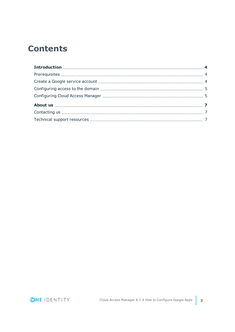### **Contents**

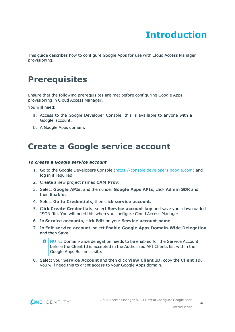# **Introduction**

<span id="page-3-0"></span>This guide describes how to configure Google Apps for use with Cloud Access Manager provisioning.

### <span id="page-3-1"></span>**Prerequisites**

Ensure that the following prerequisites are met before configuring Google Apps provisioning in Cloud Access Manager.

You will need:

- a. Access to the Google Developer Console, this is available to anyone with a Google account.
- <span id="page-3-2"></span>b. A Google Apps domain.

### **Create a Google service account**

### *To create a Google service account*

- 1. Go to the Google Developers Console [\(https://console.developers.google.com](https://console.developers.google.com/)) and log in if required.
- 2. Create a new project named **CAM Prov**.
- 3. Select **Google APIs**, and then under **Google Apps APIs**, click **Admin SDK** and then **Enable**.
- 4. Select **Go to Credentials**, then click **service account**.
- 5. Click **Create Credentials**, select **Service account key** and save your downloaded JSON file. You will need this when you configure Cloud Access Manager.
- 6. In **Service accounts**, click **Edit** on your **Service account name**.
- 7. In **Edit service account**, select **Enable Google Apps Domain-Wide Delegation** and then **Save**.

⋒ NOTE: Domain-wide delegation needs to be enabled for the Service Account before the Client Id is accepted in the Authorized API Clients list within the Google Apps Business site.

8. Select your **Service Account** and then click **View Client ID**, copy the **Client ID**, you will need this to grant access to your Google Apps domain.

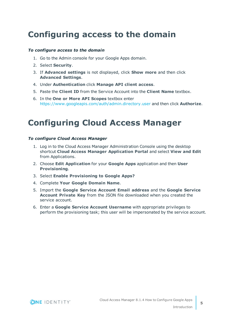## <span id="page-4-0"></span>**Configuring access to the domain**

### *To configure access to the domain*

- 1. Go to the Admin console for your Google Apps domain.
- 2. Select **Security**.
- 3. If **Advanced settings** is not displayed, click **Show more** and then click **Advanced Settings**.
- 4. Under **Authentication** click **Manage API client access**.
- 5. Paste the **Client ID** from the Service Account into the **Client Name** textbox.
- 6. In the **One or More API Scopes** textbox enter <https://www.googleapis.com/auth/admin.directory.user> and then click **Authorize**.

### <span id="page-4-1"></span>**Configuring Cloud Access Manager**

### *To configure Cloud Access Manager*

- 1. Log in to the Cloud Access Manager Administration Console using the desktop shortcut **Cloud Access Manager Application Portal** and select **View and Edit** from Applications.
- 2. Choose **Edit Application** for your **Google Apps** application and then **User Provisioning**.
- 3. Select **Enable Provisioning to Google Apps?**
- 4. Complete **Your Google Domain Name**.
- 5. Import the **Google Service Account Email address** and the **Google Service Account Private Key** from the JSON file downloaded when you created the service account.
- 6. Enter a **Google Service Account Username** with appropriate privileges to perform the provisioning task; this user will be impersonated by the service account.

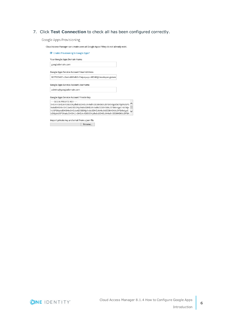### 7. Click **Test Connection** to check all has been configured correctly.

#### Google Apps Provisioning

Cloud Access Manager can create users at Google Apps if they do not already exist.

#### ■ Enable Provisioning to Google Apps?

Your Google Apps Domain Name

googledomain.com

#### Google Apps Service Account Email Address

3637823467-o3n4ndhfh4h5nfh4peywyur49340@developer.gsmek

Google Apps Service Account Username

admins@googledomain.com

Google Apps Service Account Private Key

----- BEGIN PRIVATE KEY--hUSPSNakdDHSHInSHDJnAE6SIDNjdhdisSDHDJAHkdhiS538HSKAJDFBAhdgsE hUSPSNakdDHSHInSHDJnAE6SIDNjdhdisSDHDJAHkdhiS538HSKAJDFBAhdgsE<br>bEhljshUSPSNakdDHSHI/nSHDJnAE6SIDNjdhdisSDHDJAHkdhiS538HSKAJDFBA

Import private key and email from a json file

Browse...